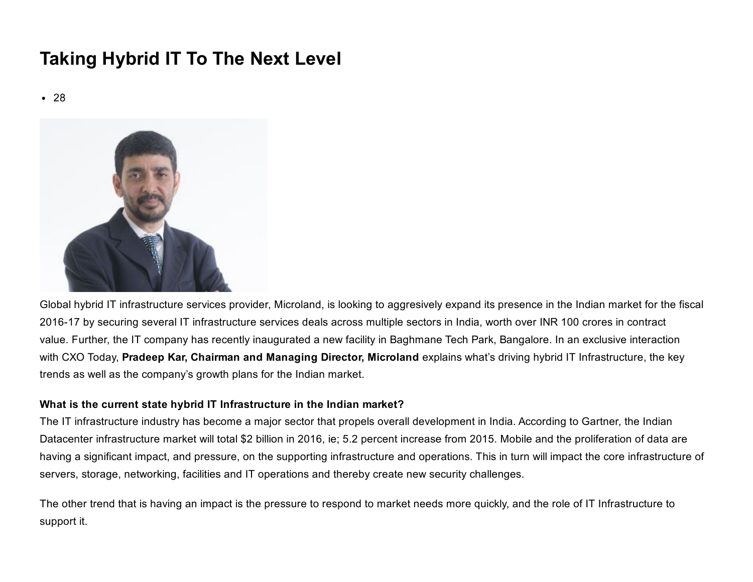# Taking Hybrid IT To The Next Level

• 28



Global hybrid IT infrastructure services provider, Microland, is looking to aggresively expand its presence in the Indian market for the fiscal 2016-17 by securing several IT infrastructure services deals across multiple sectors in India, worth over INR 100 crores in contract value. Further, the IT company has recently inaugurated a new facility in Baghmane Tech Park, Bangalore. In an exclusive interaction with CXO Today, Pradeep Kar, Chairman and Managing Director, Microland explains what's driving hybrid IT Infrastructure, the key trends as well as the company's growth plans for the Indian market.

# What is the current state hybrid IT Infrastructure in the Indian market?

The IT infrastructure industry has become a major sector that propels overall development in India. According to Gartner, the Indian Datacenter infrastructure market will total \$2 billion in 2016, ie; 5.2 percent increase from 2015. Mobile and the proliferation of data are having a significant impact, and pressure, on the supporting infrastructure and operations. This in turn will impact the core infrastructure of servers, storage, networking, facilities and IT operations and thereby create new security challenges.

The other trend that is having an impact is the pressure to respond to market needs more quickly, and the role of IT Infrastructure to support it.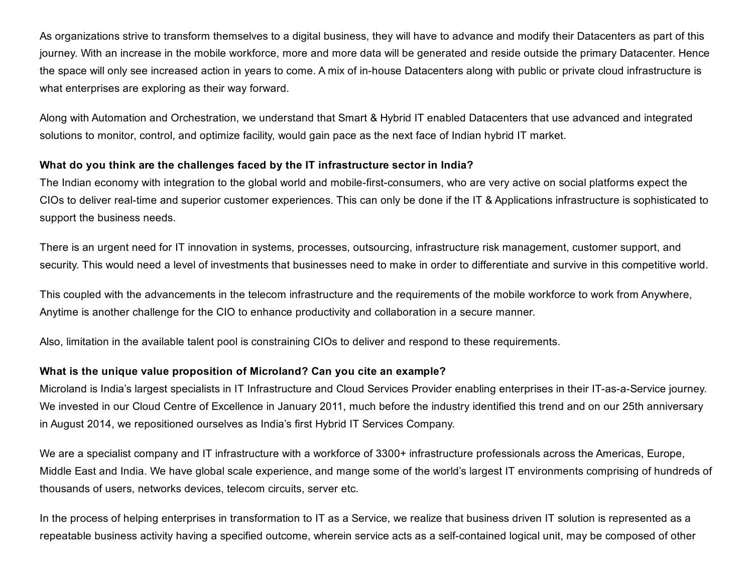As organizations strive to transform themselves to a digital business, they will have to advance and modify their Datacenters as part of this journey. With an increase in the mobile workforce, more and more data will be generated and reside outside the primary Datacenter. Hence the space will only see increased action in years to come. A mix of in-house Datacenters along with public or private cloud infrastructure is what enterprises are exploring as their way forward.

Along with Automation and Orchestration, we understand that Smart & Hybrid IT enabled Datacenters that use advanced and integrated solutions to monitor, control, and optimize facility, would gain pace as the next face of Indian hybrid IT market.

## What do you think are the challenges faced by the IT infrastructure sector in India?

The Indian economy with integration to the global world and mobile-first-consumers, who are very active on social platforms expect the CIOs to deliver real-time and superior customer experiences. This can only be done if the IT & Applications infrastructure is sophisticated to support the business needs.

There is an urgent need for IT innovation in systems, processes, outsourcing, infrastructure risk management, customer support, and security. This would need a level of investments that businesses need to make in order to differentiate and survive in this competitive world.

This coupled with the advancements in the telecom infrastructure and the requirements of the mobile workforce to work from Anywhere, Anytime is another challenge for the CIO to enhance productivity and collaboration in a secure manner.

Also, limitation in the available talent pool is constraining CIOs to deliver and respond to these requirements.

# What is the unique value proposition of Microland? Can you cite an example?

Microland is India's largest specialists in IT Infrastructure and Cloud Services Provider enabling enterprises in their IT-as-a-Service journey. We invested in our Cloud Centre of Excellence in January 2011, much before the industry identified this trend and on our 25th anniversary in August 2014, we repositioned ourselves as India's first Hybrid IT Services Company.

We are a specialist company and IT infrastructure with a workforce of 3300+ infrastructure professionals across the Americas, Europe, Middle East and India. We have global scale experience, and mange some of the world's largest IT environments comprising of hundreds of thousands of users, networks devices, telecom circuits, server etc.

In the process of helping enterprises in transformation to IT as a Service, we realize that business driven IT solution is represented as a repeatable business activity having a specified outcome, wherein service acts as a self-contained logical unit, may be composed of other